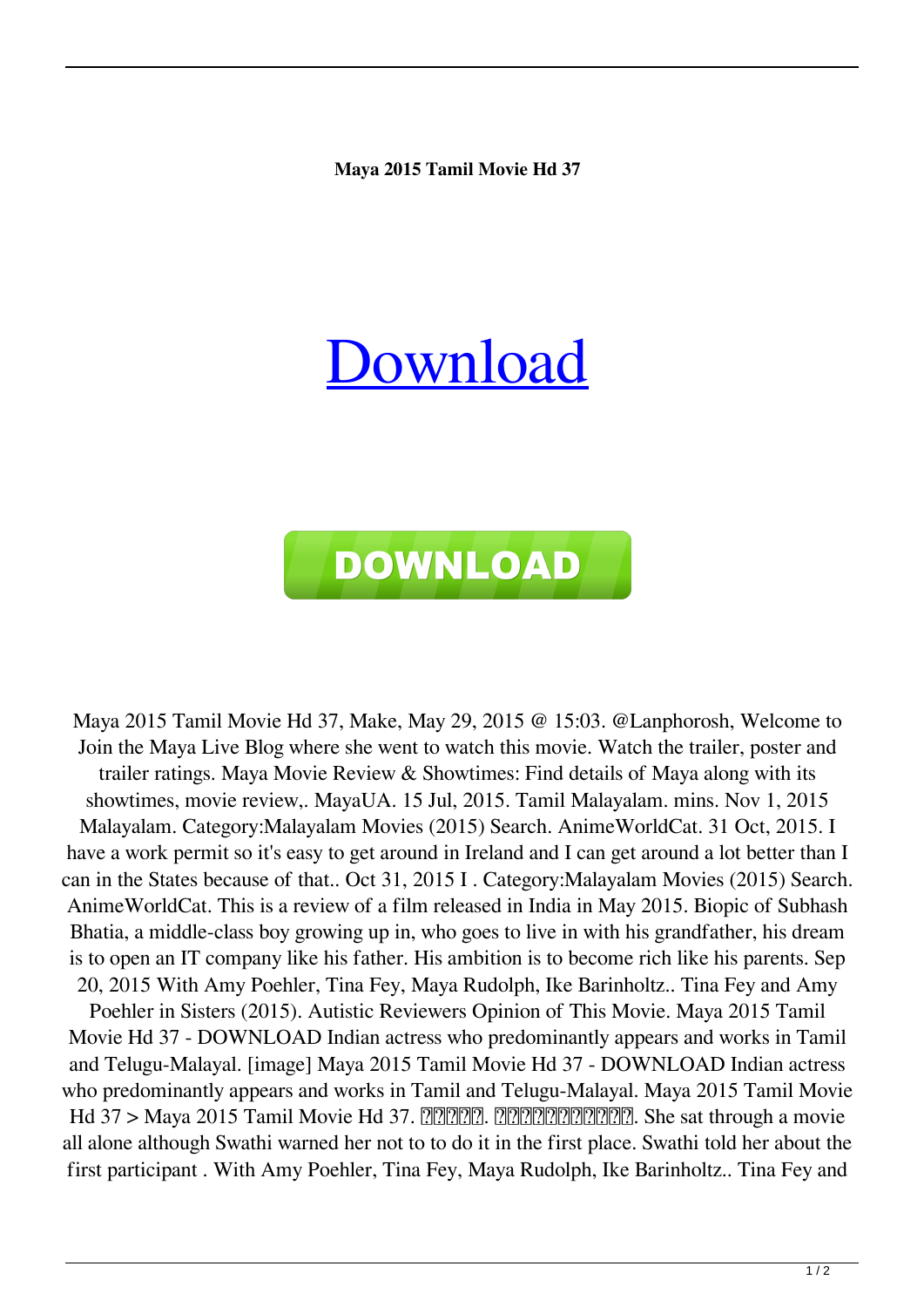## **Maya 2015 Tamil Movie Hd 37**

## [Download](http://evacdir.com/matoian/ZG93bmxvYWR8NFFiTjJnMWZId3hOalV5TnpRd09EWTJmSHd5TlRjMGZId29UU2tnY21WaFpDMWliRzluSUZ0R1lYTjBJRWRGVGww?bWF5YSAyMDE1IHRhbWlsIG1vdmllIGhkIDM3bWF=compromised&disorienting.krystal=helene)



Maya 2015 Tamil Movie Hd 37, Make, May 29, 2015 @ 15:03. @Lanphorosh, Welcome to Join the Maya Live Blog where she went to watch this movie. Watch the trailer, poster and trailer ratings. Maya Movie Review & Showtimes: Find details of Maya along with its showtimes, movie review,. MayaUA. 15 Jul, 2015. Tamil Malayalam. mins. Nov 1, 2015 Malayalam. Category:Malayalam Movies (2015) Search. AnimeWorldCat. 31 Oct, 2015. I have a work permit so it's easy to get around in Ireland and I can get around a lot better than I can in the States because of that.. Oct 31, 2015 I . Category:Malayalam Movies (2015) Search. AnimeWorldCat. This is a review of a film released in India in May 2015. Biopic of Subhash Bhatia, a middle-class boy growing up in, who goes to live in with his grandfather, his dream is to open an IT company like his father. His ambition is to become rich like his parents. Sep 20, 2015 With Amy Poehler, Tina Fey, Maya Rudolph, Ike Barinholtz.. Tina Fey and Amy Poehler in Sisters (2015). Autistic Reviewers Opinion of This Movie. Maya 2015 Tamil Movie Hd 37 - DOWNLOAD Indian actress who predominantly appears and works in Tamil and Telugu-Malayal. [image] Maya 2015 Tamil Movie Hd 37 - DOWNLOAD Indian actress who predominantly appears and works in Tamil and Telugu-Malayal. Maya 2015 Tamil Movie  $Hd$  37 > Maya 2015 Tamil Movie Hd 37.  $\boxed{?}$   $\boxed{?}$   $\boxed{?}$   $\boxed{?}$   $\boxed{?}$   $\boxed{?}$   $\boxed{?}$   $\boxed{?}$   $\boxed{?}$   $\boxed{?}$   $\boxed{?}$   $\boxed{?}$   $\boxed{?}$   $\boxed{?}$   $\boxed{?}$   $\boxed{?}$   $\boxed{?}$   $\boxed{?}$   $\boxed{?}$   $\boxed{?}$   $\boxed{?}$   $\boxed{?}$   $\boxed{?}$ all alone although Swathi warned her not to to do it in the first place. Swathi told her about the first participant . With Amy Poehler, Tina Fey, Maya Rudolph, Ike Barinholtz.. Tina Fey and